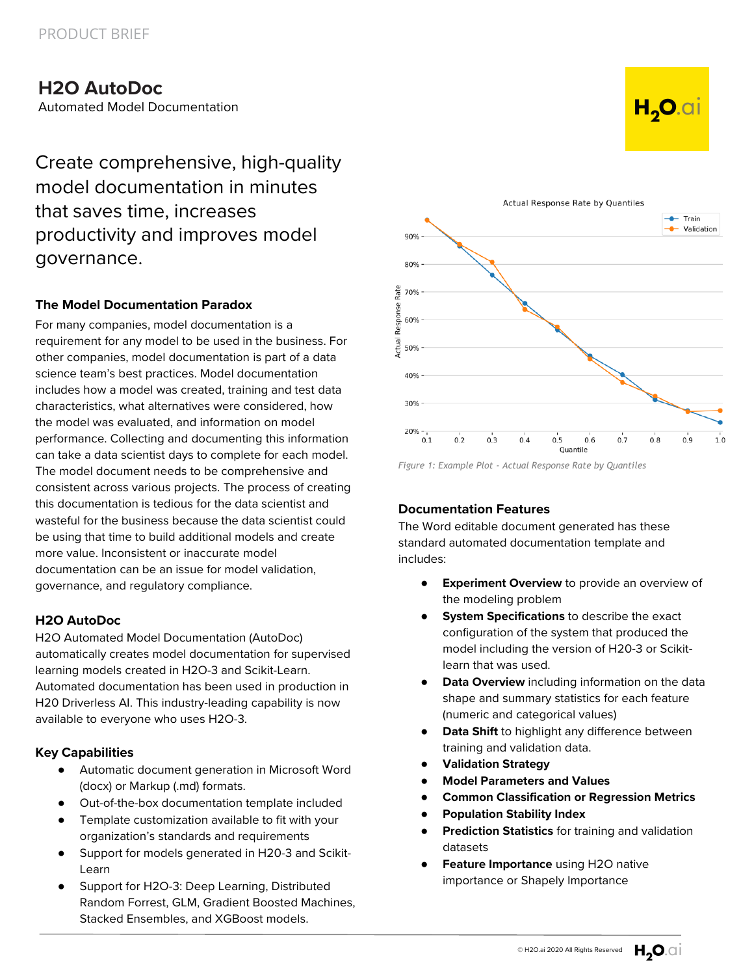# **H2O AutoDoc**

Automated Model Documentation

Create comprehensive, high-quality model documentation in minutes that saves time, increases productivity and improves model governance.

# **The Model Documentation Paradox**

For many companies, model documentation is a requirement for any model to be used in the business. For other companies, model documentation is part of a data science team's best practices. Model documentation includes how a model was created, training and test data characteristics, what alternatives were considered, how the model was evaluated, and information on model performance. Collecting and documenting this information can take a data scientist days to complete for each model. The model document needs to be comprehensive and consistent across various projects. The process of creating this documentation is tedious for the data scientist and wasteful for the business because the data scientist could be using that time to build additional models and create more value. Inconsistent or inaccurate model documentation can be an issue for model validation, governance, and regulatory compliance.

## **H2O AutoDoc**

H2O Automated Model Documentation (AutoDoc) automatically creates model documentation for supervised learning models created in H2O-3 and Scikit-Learn. Automated documentation has been used in production in H20 Driverless AI. This industry-leading capability is now available to everyone who uses H2O-3.

## **Key Capabilities**

- Automatic document generation in Microsoft Word (docx) or Markup (.md) formats.
- Out-of-the-box documentation template included
- Template customization available to fit with your organization's standards and requirements
- Support for models generated in H20-3 and Scikit-Learn
- Support for H2O-3: Deep Learning, Distributed Random Forrest, GLM, Gradient Boosted Machines, Stacked Ensembles, and XGBoost models.



*Figure 1: Example Plot - Actual Response Rate by Quantiles*

# **Documentation Features**

The Word editable document generated has these standard automated documentation template and includes:

- **Experiment Overview** to provide an overview of the modeling problem
- **System Specifications** to describe the exact configuration of the system that produced the model including the version of H20-3 or Scikitlearn that was used.
- **Data Overview** including information on the data shape and summary statistics for each feature (numeric and categorical values)
- **Data Shift** to highlight any difference between training and validation data.
- **Validation Strategy**
- **Model Parameters and Values**
- **Common Classification or Regression Metrics**
- **Population Stability Index**
- **Prediction Statistics** for training and validation datasets
- **Feature Importance** using H2O native importance or Shapely Importance